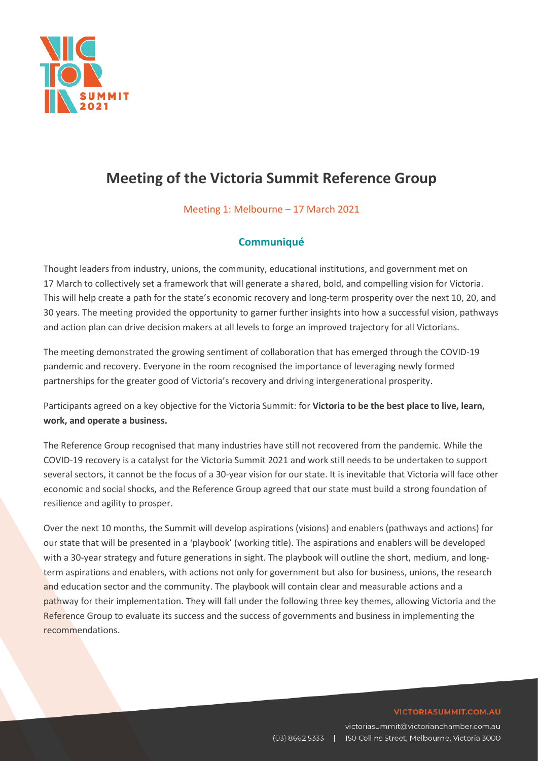

# **Meeting of the Victoria Summit Reference Group**

Meeting 1: Melbourne – 17 March 2021

# **Communiqué**

Thought leaders from industry, unions, the community, educational institutions, and government met on 17 March to collectively set a framework that will generate a shared, bold, and compelling vision for Victoria. This will help create a path for the state's economic recovery and long-term prosperity over the next 10, 20, and 30 years. The meeting provided the opportunity to garner further insights into how a successful vision, pathways and action plan can drive decision makers at all levels to forge an improved trajectory for all Victorians.

The meeting demonstrated the growing sentiment of collaboration that has emerged through the COVID-19 pandemic and recovery. Everyone in the room recognised the importance of leveraging newly formed partnerships for the greater good of Victoria's recovery and driving intergenerational prosperity.

Participants agreed on a key objective for the Victoria Summit: for **Victoria to be the best place to live, learn, work, and operate a business.** 

The Reference Group recognised that many industries have still not recovered from the pandemic. While the COVID-19 recovery is a catalyst for the Victoria Summit 2021 and work still needs to be undertaken to support several sectors, it cannot be the focus of a 30-year vision for our state. It is inevitable that Victoria will face other economic and social shocks, and the Reference Group agreed that our state must build a strong foundation of resilience and agility to prosper.

Over the next 10 months, the Summit will develop aspirations (visions) and enablers (pathways and actions) for our state that will be presented in a 'playbook' (working title). The aspirations and enablers will be developed with a 30-year strategy and future generations in sight. The playbook will outline the short, medium, and longterm aspirations and enablers, with actions not only for government but also for business, unions, the research and education sector and the community. The playbook will contain clear and measurable actions and a pathway for their implementation. They will fall under the following three key themes, allowing Victoria and the Reference Group to evaluate its success and the success of governments and business in implementing the recommendations.

#### VICTORIASUMMIT.COM.AU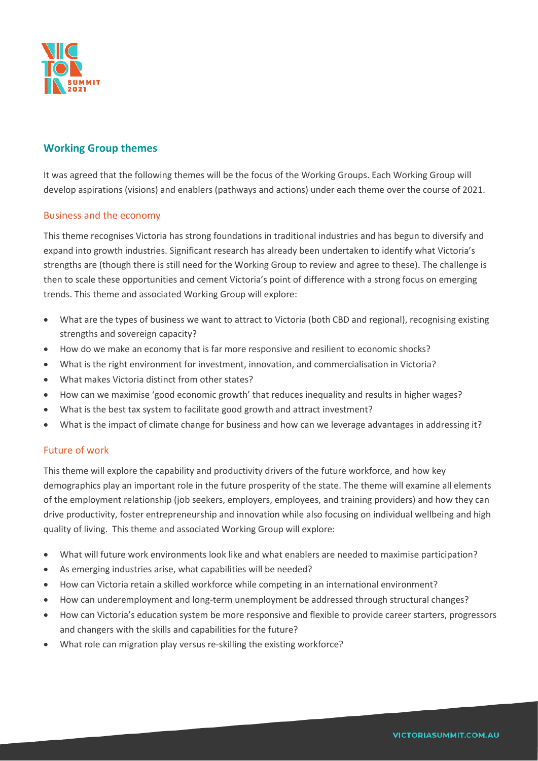

# **Working Group themes**

It was agreed that the following themes will be the focus of the Working Groups. Each Working Group will develop aspirations (visions) and enablers (pathways and actions) under each theme over the course of 2021.

### Business and the economy

This theme recognises Victoria has strong foundations in traditional industries and has begun to diversify and expand into growth industries. Significant research has already been undertaken to identify what Victoria's strengths are (though there is still need for the Working Group to review and agree to these). The challenge is then to scale these opportunities and cement Victoria's point of difference with a strong focus on emerging trends. This theme and associated Working Group will explore:

- What are the types of business we want to attract to Victoria (both CBD and regional), recognising existing strengths and sovereign capacity?
- How do we make an economy that is far more responsive and resilient to economic shocks?
- What is the right environment for investment, innovation, and commercialisation in Victoria?
- What makes Victoria distinct from other states?
- How can we maximise 'good economic growth' that reduces inequality and results in higher wages?
- What is the best tax system to facilitate good growth and attract investment?
- What is the impact of climate change for business and how can we leverage advantages in addressing it?

### Future of work

This theme will explore the capability and productivity drivers of the future workforce, and how key demographics play an important role in the future prosperity of the state. The theme will examine all elements of the employment relationship (job seekers, employers, employees, and training providers) and how they can drive productivity, foster entrepreneurship and innovation while also focusing on individual wellbeing and high quality of living. This theme and associated Working Group will explore:

- What will future work environments look like and what enablers are needed to maximise participation?
- As emerging industries arise, what capabilities will be needed?
- How can Victoria retain a skilled workforce while competing in an international environment?
- How can underemployment and long-term unemployment be addressed through structural changes?
- How can Victoria's education system be more responsive and flexible to provide career starters, progressors and changers with the skills and capabilities for the future?
- What role can migration play versus re-skilling the existing workforce?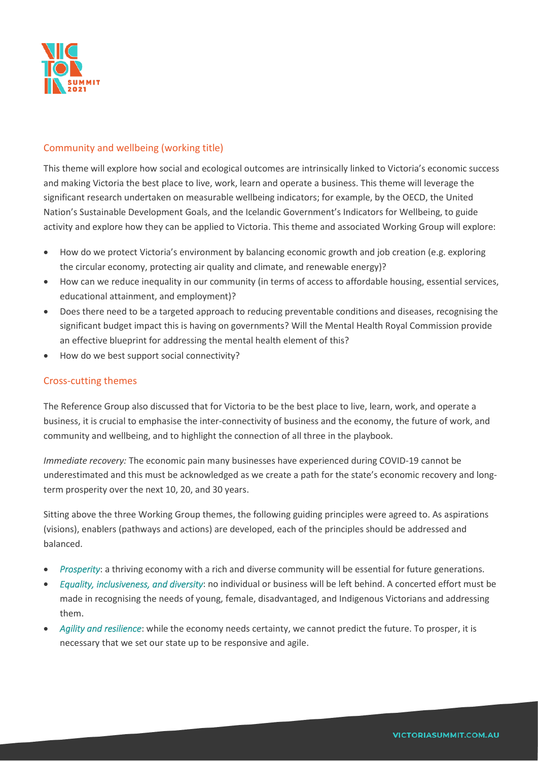

## Community and wellbeing (working title)

This theme will explore how social and ecological outcomes are intrinsically linked to Victoria's economic success and making Victoria the best place to live, work, learn and operate a business. This theme will leverage the significant research undertaken on measurable wellbeing indicators; for example, by the OECD, the United Nation's Sustainable Development Goals, and the Icelandic Government's Indicators for Wellbeing, to guide activity and explore how they can be applied to Victoria. This theme and associated Working Group will explore:

- How do we protect Victoria's environment by balancing economic growth and job creation (e.g. exploring the circular economy, protecting air quality and climate, and renewable energy)?
- How can we reduce inequality in our community (in terms of access to affordable housing, essential services, educational attainment, and employment)?
- Does there need to be a targeted approach to reducing preventable conditions and diseases, recognising the significant budget impact this is having on governments? Will the Mental Health Royal Commission provide an effective blueprint for addressing the mental health element of this?
- How do we best support social connectivity?

#### Cross-cutting themes

The Reference Group also discussed that for Victoria to be the best place to live, learn, work, and operate a business, it is crucial to emphasise the inter-connectivity of business and the economy, the future of work, and community and wellbeing, and to highlight the connection of all three in the playbook.

*Immediate recovery:* The economic pain many businesses have experienced during COVID-19 cannot be underestimated and this must be acknowledged as we create a path for the state's economic recovery and longterm prosperity over the next 10, 20, and 30 years.

Sitting above the three Working Group themes, the following guiding principles were agreed to. As aspirations (visions), enablers (pathways and actions) are developed, each of the principles should be addressed and balanced.

- *Prosperity*: a thriving economy with a rich and diverse community will be essential for future generations.
- *Equality, inclusiveness, and diversity*: no individual or business will be left behind. A concerted effort must be made in recognising the needs of young, female, disadvantaged, and Indigenous Victorians and addressing them.
- *Agility and resilience*: while the economy needs certainty, we cannot predict the future. To prosper, it is necessary that we set our state up to be responsive and agile.